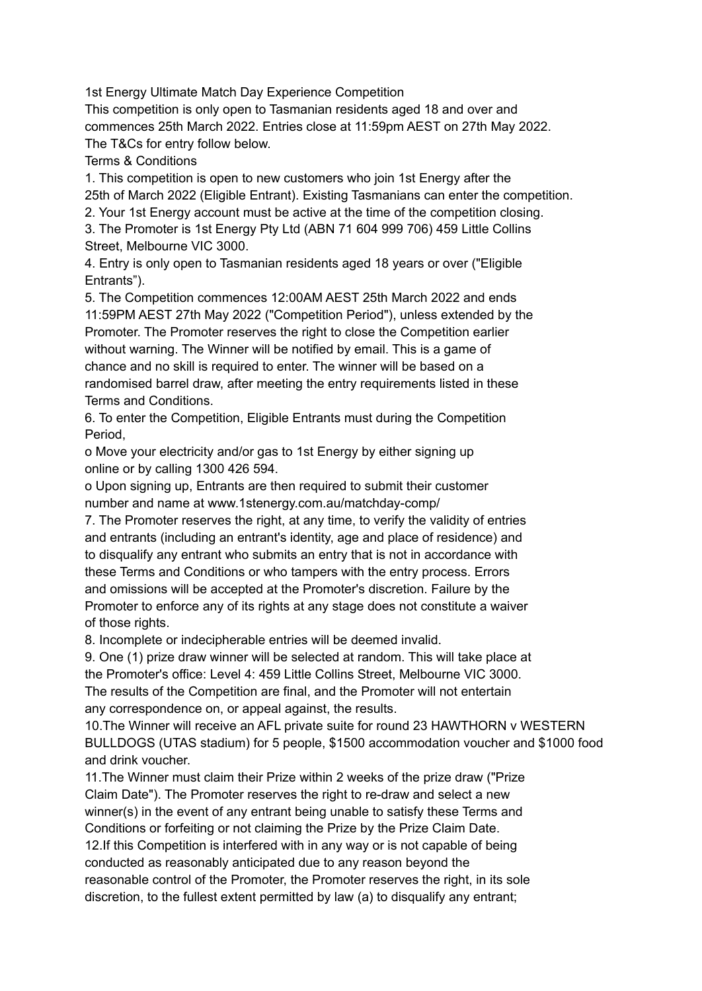1st Energy Ultimate Match Day Experience Competition

This competition is only open to Tasmanian residents aged 18 and over and commences 25th March 2022. Entries close at 11:59pm AEST on 27th May 2022. The T&Cs for entry follow below.

Terms & Conditions

1. This competition is open to new customers who join 1st Energy after the 25th of March 2022 (Eligible Entrant). Existing Tasmanians can enter the competition.

2. Your 1st Energy account must be active at the time of the competition closing. 3. The Promoter is 1st Energy Pty Ltd (ABN 71 604 999 706) 459 Little Collins Street, Melbourne VIC 3000.

4. Entry is only open to Tasmanian residents aged 18 years or over ("Eligible Entrants").

5. The Competition commences 12:00AM AEST 25th March 2022 and ends 11:59PM AEST 27th May 2022 ("Competition Period"), unless extended by the Promoter. The Promoter reserves the right to close the Competition earlier without warning. The Winner will be notified by email. This is a game of chance and no skill is required to enter. The winner will be based on a randomised barrel draw, after meeting the entry requirements listed in these Terms and Conditions.

6. To enter the Competition, Eligible Entrants must during the Competition Period,

o Move your electricity and/or gas to 1st Energy by either signing up online or by calling 1300 426 594.

o Upon signing up, Entrants are then required to submit their customer number and name at www.1stenergy.com.au/matchday-comp/

7. The Promoter reserves the right, at any time, to verify the validity of entries and entrants (including an entrant's identity, age and place of residence) and to disqualify any entrant who submits an entry that is not in accordance with these Terms and Conditions or who tampers with the entry process. Errors and omissions will be accepted at the Promoter's discretion. Failure by the Promoter to enforce any of its rights at any stage does not constitute a waiver of those rights.

8. Incomplete or indecipherable entries will be deemed invalid.

9. One (1) prize draw winner will be selected at random. This will take place at the Promoter's office: Level 4: 459 Little Collins Street, Melbourne VIC 3000. The results of the Competition are final, and the Promoter will not entertain any correspondence on, or appeal against, the results.

10.The Winner will receive an AFL private suite for round 23 HAWTHORN v WESTERN BULLDOGS (UTAS stadium) for 5 people, \$1500 accommodation voucher and \$1000 food and drink voucher.

11.The Winner must claim their Prize within 2 weeks of the prize draw ("Prize Claim Date"). The Promoter reserves the right to re-draw and select a new winner(s) in the event of any entrant being unable to satisfy these Terms and Conditions or forfeiting or not claiming the Prize by the Prize Claim Date. 12.If this Competition is interfered with in any way or is not capable of being conducted as reasonably anticipated due to any reason beyond the reasonable control of the Promoter, the Promoter reserves the right, in its sole discretion, to the fullest extent permitted by law (a) to disqualify any entrant;